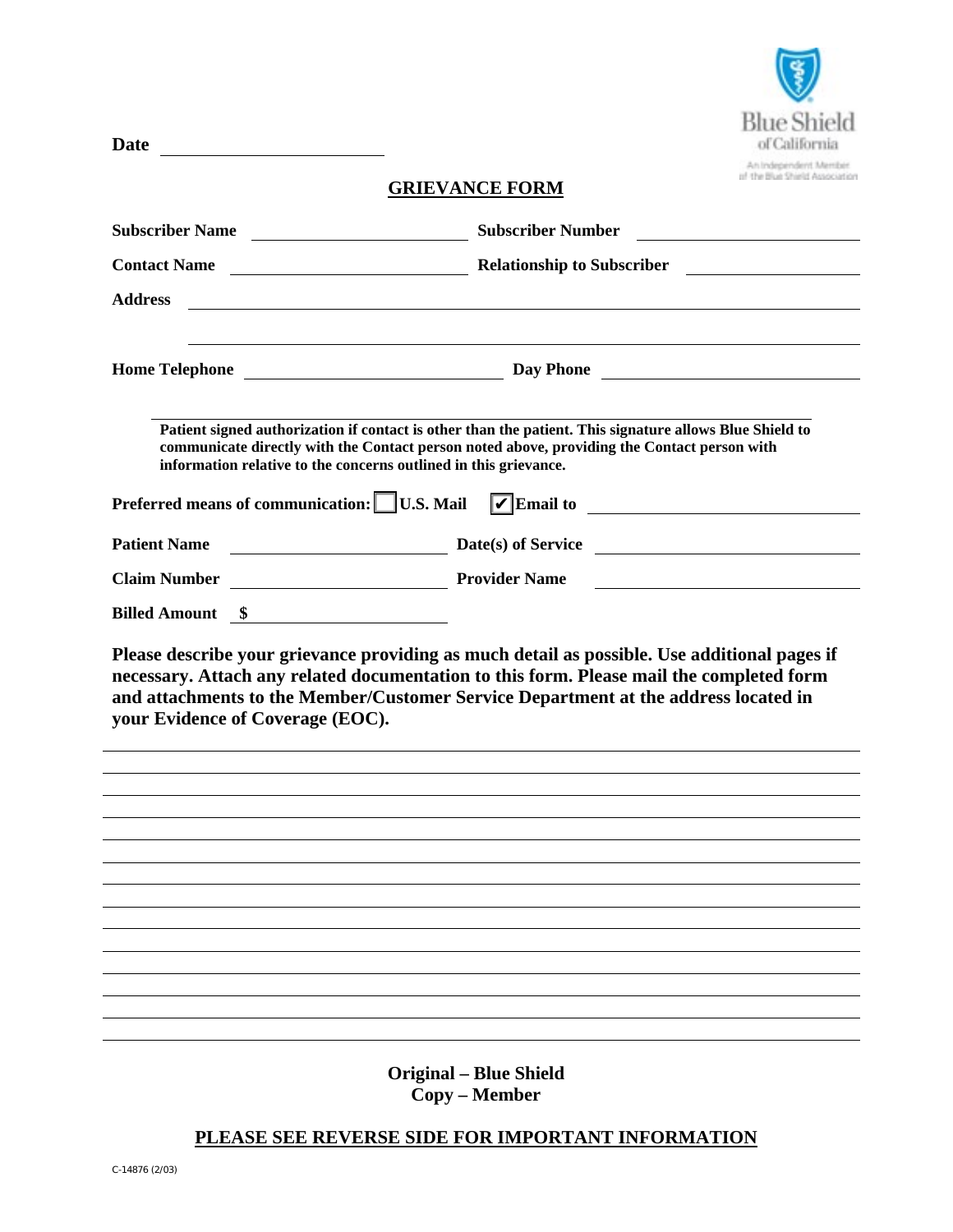

### **GRIEVANCE FORM**

**Date** 

| Subscriber Name                                                                                                                                                                                                                                                                                                                                                | <b>Subscriber Number</b><br><u> 1989 - Andrea Station Barbara, amerikan per</u>                                                                                                                                                                                                                                                                                                                                      |
|----------------------------------------------------------------------------------------------------------------------------------------------------------------------------------------------------------------------------------------------------------------------------------------------------------------------------------------------------------------|----------------------------------------------------------------------------------------------------------------------------------------------------------------------------------------------------------------------------------------------------------------------------------------------------------------------------------------------------------------------------------------------------------------------|
| Relationship to Subscriber<br><b>Contact Name</b>                                                                                                                                                                                                                                                                                                              | <u>and the company of the company of the company of the company of the company of the company of the company of the company of the company of the company of the company of the company of the company of the company of the com</u>                                                                                                                                                                                 |
| <b>Address</b><br><u> 1980 - Johann Stoff, deutscher Stoffen und der Stoffen und der Stoffen und der Stoffen und der Stoffen und de</u>                                                                                                                                                                                                                        |                                                                                                                                                                                                                                                                                                                                                                                                                      |
|                                                                                                                                                                                                                                                                                                                                                                |                                                                                                                                                                                                                                                                                                                                                                                                                      |
|                                                                                                                                                                                                                                                                                                                                                                |                                                                                                                                                                                                                                                                                                                                                                                                                      |
| Patient signed authorization if contact is other than the patient. This signature allows Blue Shield to<br>communicate directly with the Contact person noted above, providing the Contact person with<br>information relative to the concerns outlined in this grievance.<br>Preferred means of communication: U.S. Mail VE mail to _________________________ |                                                                                                                                                                                                                                                                                                                                                                                                                      |
|                                                                                                                                                                                                                                                                                                                                                                |                                                                                                                                                                                                                                                                                                                                                                                                                      |
| <b>Patient Name</b>                                                                                                                                                                                                                                                                                                                                            | $\frac{1}{\sqrt{1-\frac{1}{2}}\sqrt{1-\frac{1}{2}}\sqrt{1-\frac{1}{2}}\sqrt{1-\frac{1}{2}}\sqrt{1-\frac{1}{2}}\sqrt{1-\frac{1}{2}}\sqrt{1-\frac{1}{2}}\sqrt{1-\frac{1}{2}}\sqrt{1-\frac{1}{2}}\sqrt{1-\frac{1}{2}}\sqrt{1-\frac{1}{2}}\sqrt{1-\frac{1}{2}}\sqrt{1-\frac{1}{2}}\sqrt{1-\frac{1}{2}}\sqrt{1-\frac{1}{2}}\sqrt{1-\frac{1}{2}}\sqrt{1-\frac{1}{2}}\sqrt{1-\frac{1}{2}}\sqrt{1-\frac{1}{2}}\sqrt{1-\frac$ |
| Provider Name<br><b>Claim Number</b>                                                                                                                                                                                                                                                                                                                           | <u> 1980 - Andrea Station Barbara, politik eta provincia eta provincia eta provincia eta provincia eta provincia</u>                                                                                                                                                                                                                                                                                                 |
| Billed Amount \$                                                                                                                                                                                                                                                                                                                                               |                                                                                                                                                                                                                                                                                                                                                                                                                      |
| Please describe your grievance providing as much detail as possible. Use additional pages if<br>necessary. Attach any related documentation to this form. Please mail the completed form<br>and attachments to the Member/Customer Service Department at the address located in<br>your Evidence of Coverage (EOC).                                            |                                                                                                                                                                                                                                                                                                                                                                                                                      |
|                                                                                                                                                                                                                                                                                                                                                                |                                                                                                                                                                                                                                                                                                                                                                                                                      |
|                                                                                                                                                                                                                                                                                                                                                                |                                                                                                                                                                                                                                                                                                                                                                                                                      |
|                                                                                                                                                                                                                                                                                                                                                                |                                                                                                                                                                                                                                                                                                                                                                                                                      |
|                                                                                                                                                                                                                                                                                                                                                                |                                                                                                                                                                                                                                                                                                                                                                                                                      |
|                                                                                                                                                                                                                                                                                                                                                                |                                                                                                                                                                                                                                                                                                                                                                                                                      |
|                                                                                                                                                                                                                                                                                                                                                                |                                                                                                                                                                                                                                                                                                                                                                                                                      |
|                                                                                                                                                                                                                                                                                                                                                                |                                                                                                                                                                                                                                                                                                                                                                                                                      |
|                                                                                                                                                                                                                                                                                                                                                                |                                                                                                                                                                                                                                                                                                                                                                                                                      |
|                                                                                                                                                                                                                                                                                                                                                                |                                                                                                                                                                                                                                                                                                                                                                                                                      |
| <b>Original - Blue Shield</b>                                                                                                                                                                                                                                                                                                                                  |                                                                                                                                                                                                                                                                                                                                                                                                                      |

**Copy – Member**

# **PLEASE SEE REVERSE SIDE FOR IMPORTANT INFORMATION**